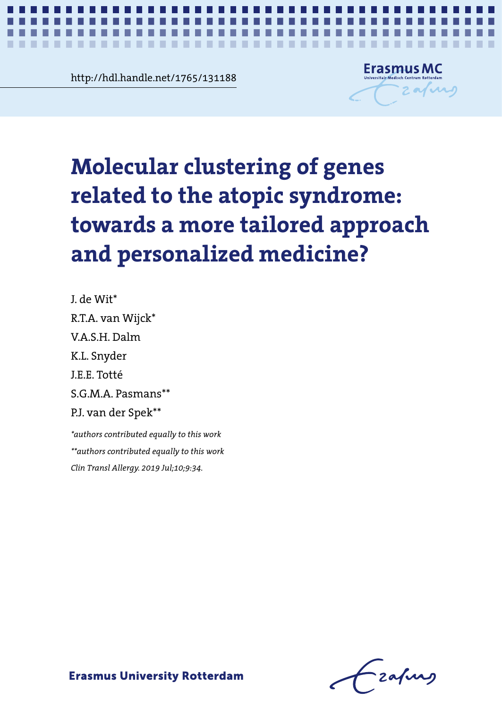mai.nandie.net/1/65/131188<br> **Chapter 4**<br> **Contract 4** http://hdl.handle.net/1765/131188

**The Contract of the Contract of the Contract of the Contract of the Contract of the Contract of the Contract of the Contract of the Contract of the Contract of the Contract of The Contract of The Contract of The Contract**  $\mathcal{L}$ ×



*Molecular clustering of genes related to the atopic syndrome* **1**

# Molecular clustering of genes related **Molecular clustering of genes**  to the atopic syndrome a more tailored approximation valus a mole tanor **related to the atopic syndrome: towards a more tailored approach and personalized medicine?**

J. de Wit\* R.T.A. van Wijck\* V.A.S.H. Dalm K.L. Snyder J.E.E. Totté S.G.M.A. Pasmans\*\* P.J. van der Spek\*\*

J. de Wit\* *Clin Transl Allergy. 2019 Jul;10;9:34.\*authors contributed equally to this work \*\*authors contributed equally to this work*

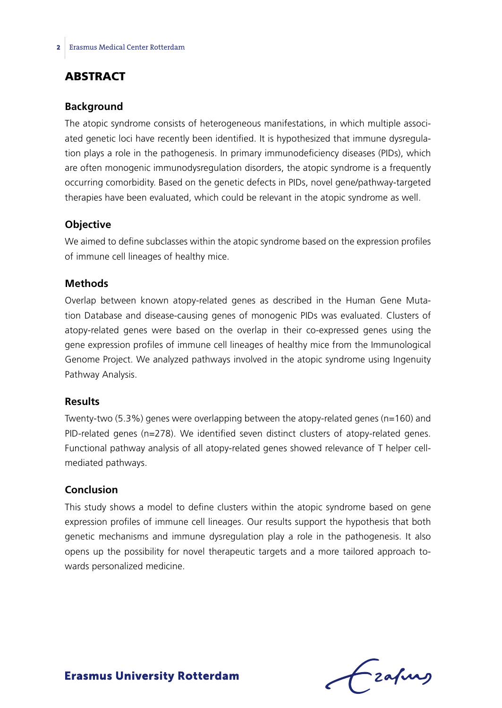# **ABSTRACT**

#### **Background**

The atopic syndrome consists of heterogeneous manifestations, in which multiple associated genetic loci have recently been identified. It is hypothesized that immune dysregulation plays a role in the pathogenesis. In primary immunodeficiency diseases (PIDs), which are often monogenic immunodysregulation disorders, the atopic syndrome is a frequently occurring comorbidity. Based on the genetic defects in PIDs, novel gene/pathway-targeted therapies have been evaluated, which could be relevant in the atopic syndrome as well.

#### **Objective**

We aimed to define subclasses within the atopic syndrome based on the expression profiles of immune cell lineages of healthy mice.

### **Methods**

Overlap between known atopy-related genes as described in the Human Gene Mutation Database and disease-causing genes of monogenic PIDs was evaluated. Clusters of atopy-related genes were based on the overlap in their co-expressed genes using the gene expression profiles of immune cell lineages of healthy mice from the Immunological Genome Project. We analyzed pathways involved in the atopic syndrome using Ingenuity Pathway Analysis.

#### **Results**

Twenty-two (5.3%) genes were overlapping between the atopy-related genes (n=160) and PID-related genes (n=278). We identified seven distinct clusters of atopy-related genes. Functional pathway analysis of all atopy-related genes showed relevance of T helper cellmediated pathways.

#### **Conclusion**

This study shows a model to define clusters within the atopic syndrome based on gene expression profiles of immune cell lineages. Our results support the hypothesis that both genetic mechanisms and immune dysregulation play a role in the pathogenesis. It also opens up the possibility for novel therapeutic targets and a more tailored approach towards personalized medicine.

Lzafurg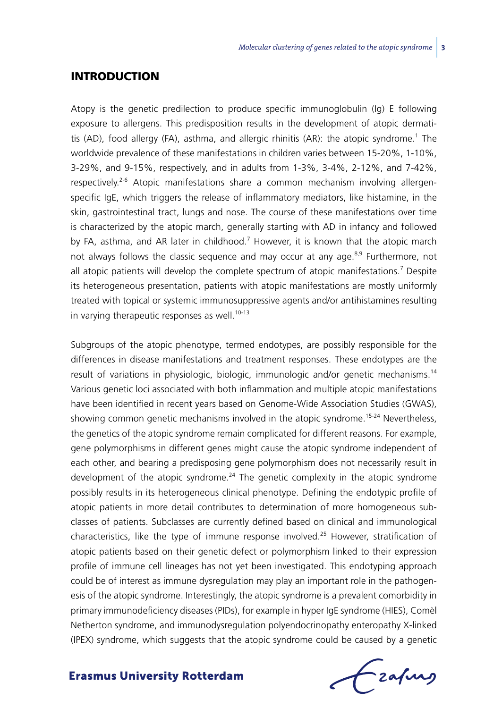### **INTRODUCTION**

Atopy is the genetic predilection to produce specific immunoglobulin (Ig) E following exposure to allergens. This predisposition results in the development of atopic dermatitis (AD), food allergy (FA), asthma, and allergic rhinitis (AR): the atopic syndrome.<sup>1</sup> The worldwide prevalence of these manifestations in children varies between 15-20%, 1-10%, 3-29%, and 9-15%, respectively, and in adults from 1-3%, 3-4%, 2-12%, and 7-42%, respectively.2-6 Atopic manifestations share a common mechanism involving allergenspecific IgE, which triggers the release of inflammatory mediators, like histamine, in the skin, gastrointestinal tract, lungs and nose. The course of these manifestations over time is characterized by the atopic march, generally starting with AD in infancy and followed by FA, asthma, and AR later in childhood.<sup>7</sup> However, it is known that the atopic march not always follows the classic sequence and may occur at any age. $8.9$  Furthermore, not all atopic patients will develop the complete spectrum of atopic manifestations.<sup>7</sup> Despite its heterogeneous presentation, patients with atopic manifestations are mostly uniformly treated with topical or systemic immunosuppressive agents and/or antihistamines resulting in varying therapeutic responses as well.<sup>10-13</sup>

Subgroups of the atopic phenotype, termed endotypes, are possibly responsible for the differences in disease manifestations and treatment responses. These endotypes are the result of variations in physiologic, biologic, immunologic and/or genetic mechanisms.<sup>14</sup> Various genetic loci associated with both inflammation and multiple atopic manifestations have been identified in recent years based on Genome-Wide Association Studies (GWAS), showing common genetic mechanisms involved in the atopic syndrome.<sup>15-24</sup> Nevertheless, the genetics of the atopic syndrome remain complicated for different reasons. For example, gene polymorphisms in different genes might cause the atopic syndrome independent of each other, and bearing a predisposing gene polymorphism does not necessarily result in development of the atopic syndrome. $24$  The genetic complexity in the atopic syndrome possibly results in its heterogeneous clinical phenotype. Defining the endotypic profile of atopic patients in more detail contributes to determination of more homogeneous subclasses of patients. Subclasses are currently defined based on clinical and immunological characteristics, like the type of immune response involved.<sup>25</sup> However, stratification of atopic patients based on their genetic defect or polymorphism linked to their expression profile of immune cell lineages has not yet been investigated. This endotyping approach could be of interest as immune dysregulation may play an important role in the pathogenesis of the atopic syndrome. Interestingly, the atopic syndrome is a prevalent comorbidity in primary immunodeficiency diseases (PIDs), for example in hyper IgE syndrome (HIES), Comèl Netherton syndrome, and immunodysregulation polyendocrinopathy enteropathy X-linked (IPEX) syndrome, which suggests that the atopic syndrome could be caused by a genetic

frafing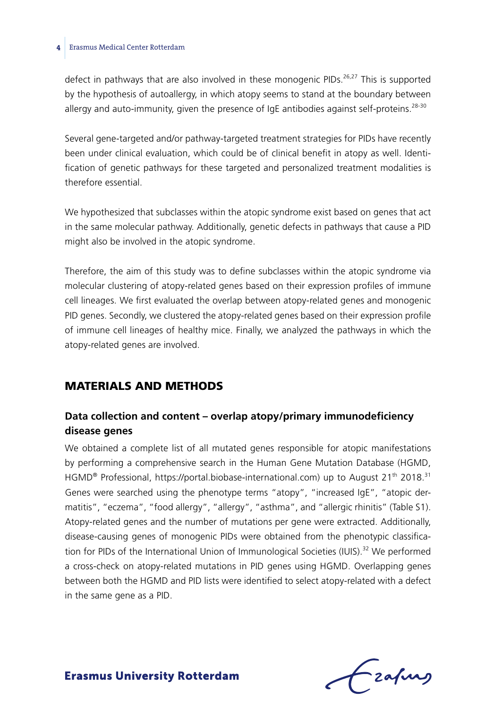defect in pathways that are also involved in these monogenic PIDs. $26,27$  This is supported by the hypothesis of autoallergy, in which atopy seems to stand at the boundary between allergy and auto-immunity, given the presence of IgE antibodies against self-proteins.<sup>28-30</sup>

Several gene-targeted and/or pathway-targeted treatment strategies for PIDs have recently been under clinical evaluation, which could be of clinical benefit in atopy as well. Identification of genetic pathways for these targeted and personalized treatment modalities is therefore essential.

We hypothesized that subclasses within the atopic syndrome exist based on genes that act in the same molecular pathway. Additionally, genetic defects in pathways that cause a PID might also be involved in the atopic syndrome.

Therefore, the aim of this study was to define subclasses within the atopic syndrome via molecular clustering of atopy-related genes based on their expression profiles of immune cell lineages. We first evaluated the overlap between atopy-related genes and monogenic PID genes. Secondly, we clustered the atopy-related genes based on their expression profile of immune cell lineages of healthy mice. Finally, we analyzed the pathways in which the atopy-related genes are involved.

# Materials and methods

# **Data collection and content – overlap atopy/primary immunodeficiency disease genes**

We obtained a complete list of all mutated genes responsible for atopic manifestations by performing a comprehensive search in the Human Gene Mutation Database (HGMD, HGMD<sup>®</sup> Professional, https://portal.biobase-international.com) up to August 21<sup>th</sup> 2018.<sup>31</sup> Genes were searched using the phenotype terms "atopy", "increased IgE", "atopic dermatitis", "eczema", "food allergy", "allergy", "asthma", and "allergic rhinitis" (Table S1). Atopy-related genes and the number of mutations per gene were extracted. Additionally, disease-causing genes of monogenic PIDs were obtained from the phenotypic classification for PIDs of the International Union of Immunological Societies (IUIS).<sup>32</sup> We performed a cross-check on atopy-related mutations in PID genes using HGMD. Overlapping genes between both the HGMD and PID lists were identified to select atopy-related with a defect in the same gene as a PID.

Frahing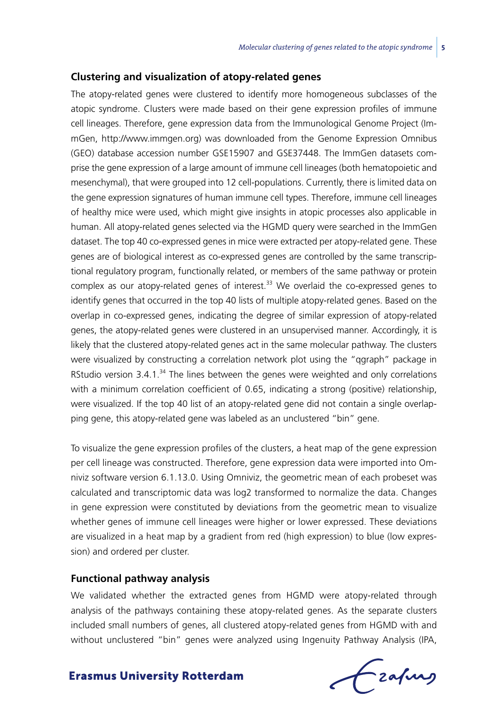#### **Clustering and visualization of atopy-related genes**

The atopy-related genes were clustered to identify more homogeneous subclasses of the atopic syndrome. Clusters were made based on their gene expression profiles of immune cell lineages. Therefore, gene expression data from the Immunological Genome Project (ImmGen, http://www.immgen.org) was downloaded from the Genome Expression Omnibus (GEO) database accession number GSE15907 and GSE37448. The ImmGen datasets comprise the gene expression of a large amount of immune cell lineages (both hematopoietic and mesenchymal), that were grouped into 12 cell-populations. Currently, there is limited data on the gene expression signatures of human immune cell types. Therefore, immune cell lineages of healthy mice were used, which might give insights in atopic processes also applicable in human. All atopy-related genes selected via the HGMD query were searched in the ImmGen dataset. The top 40 co-expressed genes in mice were extracted per atopy-related gene. These genes are of biological interest as co-expressed genes are controlled by the same transcriptional regulatory program, functionally related, or members of the same pathway or protein complex as our atopy-related genes of interest.<sup>33</sup> We overlaid the co-expressed genes to identify genes that occurred in the top 40 lists of multiple atopy-related genes. Based on the overlap in co-expressed genes, indicating the degree of similar expression of atopy-related genes, the atopy-related genes were clustered in an unsupervised manner. Accordingly, it is likely that the clustered atopy-related genes act in the same molecular pathway. The clusters were visualized by constructing a correlation network plot using the "qgraph" package in RStudio version  $3.4.1$ .<sup>34</sup> The lines between the genes were weighted and only correlations with a minimum correlation coefficient of 0.65, indicating a strong (positive) relationship, were visualized. If the top 40 list of an atopy-related gene did not contain a single overlapping gene, this atopy-related gene was labeled as an unclustered "bin" gene.

To visualize the gene expression profiles of the clusters, a heat map of the gene expression per cell lineage was constructed. Therefore, gene expression data were imported into Omniviz software version 6.1.13.0. Using Omniviz, the geometric mean of each probeset was calculated and transcriptomic data was log2 transformed to normalize the data. Changes in gene expression were constituted by deviations from the geometric mean to visualize whether genes of immune cell lineages were higher or lower expressed. These deviations are visualized in a heat map by a gradient from red (high expression) to blue (low expression) and ordered per cluster.

#### **Functional pathway analysis**

We validated whether the extracted genes from HGMD were atopy-related through analysis of the pathways containing these atopy-related genes. As the separate clusters included small numbers of genes, all clustered atopy-related genes from HGMD with and without unclustered "bin" genes were analyzed using Ingenuity Pathway Analysis (IPA,

Frafing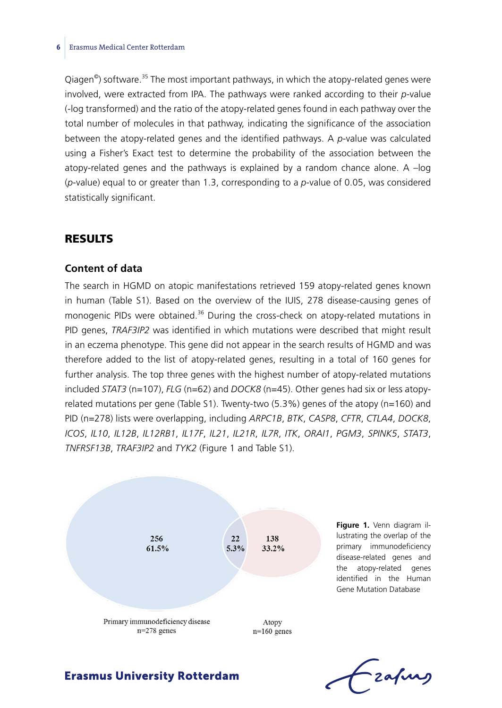Qiagen<sup>®</sup>) software.<sup>35</sup> The most important pathways, in which the atopy-related genes were involved, were extracted from IPA. The pathways were ranked according to their *p*-value (-log transformed) and the ratio of the atopy-related genes found in each pathway over the total number of molecules in that pathway, indicating the significance of the association between the atopy-related genes and the identified pathways. A *p*-value was calculated using a Fisher's Exact test to determine the probability of the association between the atopy-related genes and the pathways is explained by a random chance alone. A –log (*p*-value) equal to or greater than 1.3, corresponding to a *p*-value of 0.05, was considered statistically significant.

### Results

#### **Content of data**

The search in HGMD on atopic manifestations retrieved 159 atopy-related genes known in human (Table S1). Based on the overview of the IUIS, 278 disease-causing genes of monogenic PIDs were obtained. $36$  During the cross-check on atopy-related mutations in PID genes, *TRAF3IP2* was identified in which mutations were described that might result in an eczema phenotype. This gene did not appear in the search results of HGMD and was therefore added to the list of atopy-related genes, resulting in a total of 160 genes for further analysis. The top three genes with the highest number of atopy-related mutations included *STAT3* (n=107), *FLG* (n=62) and *DOCK8* (n=45). Other genes had six or less atopyrelated mutations per gene (Table S1). Twenty-two (5.3%) genes of the atopy (n=160) and PID (n=278) lists were overlapping, including *ARPC1B*, *BTK*, *CASP8*, *CFTR*, *CTLA4*, *DOCK8*, *ICOS*, *IL10*, *IL12B*, *IL12RB1*, *IL17F*, *IL21*, *IL21R*, *IL7R*, *ITK*, *ORAI1*, *PGM3*, *SPINK5*, *STAT3*, *TNFRSF13B*, *TRAF3IP2* and *TYK2* (Figure 1 and Table S1).



**Figure 1.** Venn diagram illustrating the overlap of the primary immunodeficiency disease-related genes and the atopy-related genes identified in the Human Gene Mutation Database

Lzafurs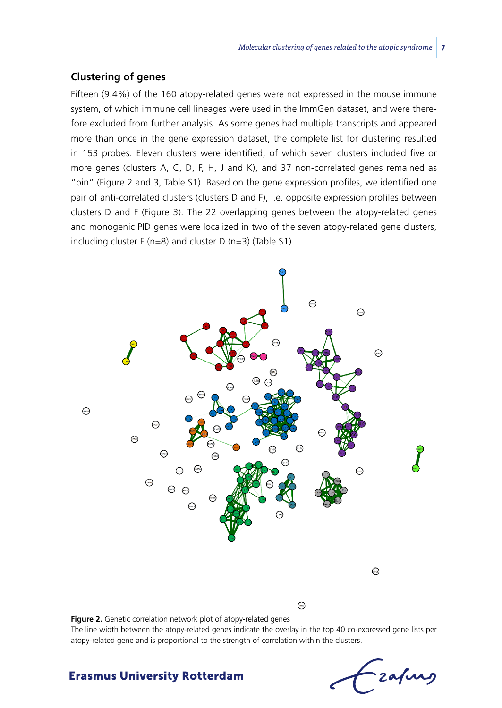#### **Clustering of genes**

Fifteen (9.4%) of the 160 atopy-related genes were not expressed in the mouse immune system, of which immune cell lineages were used in the ImmGen dataset, and were therefore excluded from further analysis. As some genes had multiple transcripts and appeared more than once in the gene expression dataset, the complete list for clustering resulted in 153 probes. Eleven clusters were identified, of which seven clusters included five or more genes (clusters A, C, D, F, H, J and K), and 37 non-correlated genes remained as "bin" (Figure 2 and 3, Table S1). Based on the gene expression profiles, we identified one pair of anti-correlated clusters (clusters D and F), i.e. opposite expression profiles between clusters D and F (Figure 3). The 22 overlapping genes between the atopy-related genes and monogenic PID genes were localized in two of the seven atopy-related gene clusters, including cluster F (n=8) and cluster D (n=3) (Table S1).



**Figure 2.** Genetic correlation network plot of atopy-related genes The line width between the atopy-related genes indicate the overlay in the top 40 co-expressed gene lists per atopy-related gene and is proportional to the strength of correlation within the clusters.

-zafurg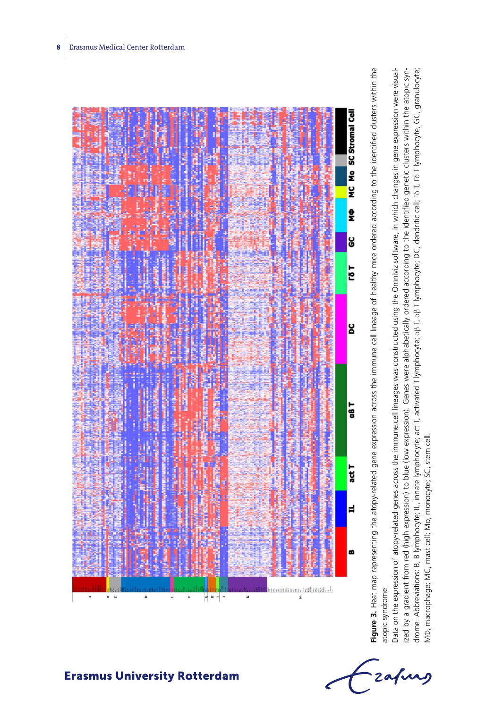

**Figure 3.** Heat map representing the atopy-related gene expression across the immune cell lineage of healthy mice ordered according to the identified clusters within the Figure 3. Heat map representing the atopy-related gene expression across the immune cell lineage of healthy mice ordered according to the identified clusters within the atopic syndrome atopic syndrome

drome. Abbreviations: B, B lymphocyte; IL, innate lymphocyte; act T, activated T lymphocyte; αβ T, αβ T lymphocyte; DC, dendritic cell; Γδ T, Γδ T lymphocyte, GC, granulocyte; Data on the expression of atopy-related genes across the immune cell lineages was constructed using the Omniviz software, in which changes in gene expression were visualized by a gradient from red (high expression) to blue (low expression). Genes were alphabetically ordered according to the identified genetic clusters within the atopic syndrome. Abbreviations: Β, Β lymphocyte; lL, innate lymphocyte; act T, activated T lymphocyte; αβ T lymphocyte; DC, dendritic cell; Γδ T, Γδ T lymphocyte, GC, granulocyte;<br>M0, macrophage; MC, mast cell; Mo, monocyte; SC, st Data on the expression of atopy-related genes across the immune cell lineages was constructed using the Omniviz software, in which changes in gene expression were visualized by a gradient from red (high expression) to blue (low expression). Genes were alphabetically ordered according to the identified genetic clusters within the atopic syn-MΦ, macrophage; MC, mast cell; Mo, monocyte; SC, stem cell.

Frahing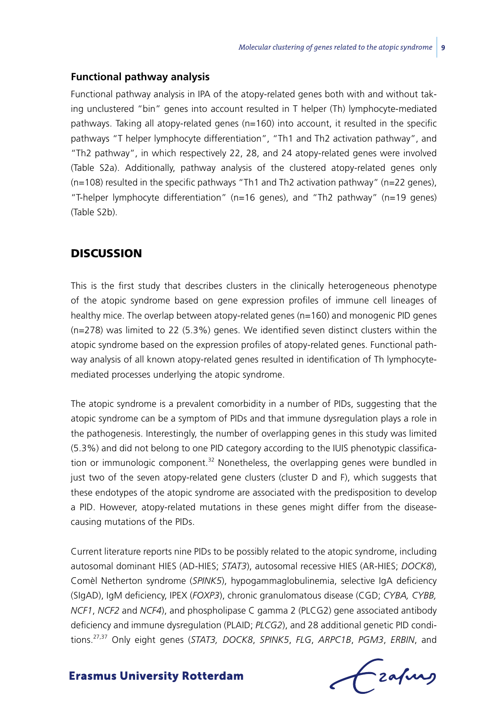#### **Functional pathway analysis**

Functional pathway analysis in IPA of the atopy-related genes both with and without taking unclustered "bin" genes into account resulted in T helper (Th) lymphocyte-mediated pathways. Taking all atopy-related genes (n=160) into account, it resulted in the specific pathways "T helper lymphocyte differentiation", "Th1 and Th2 activation pathway", and "Th2 pathway", in which respectively 22, 28, and 24 atopy-related genes were involved (Table S2a). Additionally, pathway analysis of the clustered atopy-related genes only  $(n=108)$  resulted in the specific pathways "Th1 and Th2 activation pathway" (n=22 genes), "T-helper lymphocyte differentiation" (n=16 genes), and "Th2 pathway" (n=19 genes) (Table S2b).

### **DISCUSSION**

This is the first study that describes clusters in the clinically heterogeneous phenotype of the atopic syndrome based on gene expression profiles of immune cell lineages of healthy mice. The overlap between atopy-related genes (n=160) and monogenic PID genes (n=278) was limited to 22 (5.3%) genes. We identified seven distinct clusters within the atopic syndrome based on the expression profiles of atopy-related genes. Functional pathway analysis of all known atopy-related genes resulted in identification of Th lymphocytemediated processes underlying the atopic syndrome.

The atopic syndrome is a prevalent comorbidity in a number of PIDs, suggesting that the atopic syndrome can be a symptom of PIDs and that immune dysregulation plays a role in the pathogenesis. Interestingly, the number of overlapping genes in this study was limited (5.3%) and did not belong to one PID category according to the IUIS phenotypic classification or immunologic component.<sup>32</sup> Nonetheless, the overlapping genes were bundled in just two of the seven atopy-related gene clusters (cluster D and F), which suggests that these endotypes of the atopic syndrome are associated with the predisposition to develop a PID. However, atopy-related mutations in these genes might differ from the diseasecausing mutations of the PIDs.

Current literature reports nine PIDs to be possibly related to the atopic syndrome, including autosomal dominant HIES (AD-HIES; *STAT3*), autosomal recessive HIES (AR-HIES; *DOCK8*), Comèl Netherton syndrome (*SPINK5*), hypogammaglobulinemia, selective IgA deficiency (SIgAD), IgM deficiency, IPEX (*FOXP3*), chronic granulomatous disease (CGD; *CYBA, CYBB, NCF1*, *NCF2* and *NCF4*), and phospholipase C gamma 2 (PLCG2) gene associated antibody deficiency and immune dysregulation (PLAID; *PLCG2*), and 28 additional genetic PID conditions.27,37 Only eight genes (*STAT3, DOCK8*, *SPINK5*, *FLG*, *ARPC1B*, *PGM3*, *ERBIN*, and

Czafurz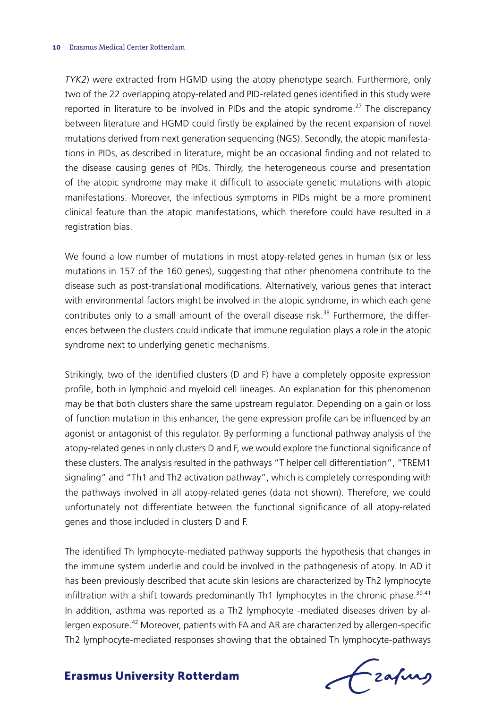*TYK2*) were extracted from HGMD using the atopy phenotype search. Furthermore, only two of the 22 overlapping atopy-related and PID-related genes identified in this study were reported in literature to be involved in PIDs and the atopic syndrome.<sup>27</sup> The discrepancy between literature and HGMD could firstly be explained by the recent expansion of novel mutations derived from next generation sequencing (NGS). Secondly, the atopic manifestations in PIDs, as described in literature, might be an occasional finding and not related to the disease causing genes of PIDs. Thirdly, the heterogeneous course and presentation of the atopic syndrome may make it difficult to associate genetic mutations with atopic manifestations. Moreover, the infectious symptoms in PIDs might be a more prominent clinical feature than the atopic manifestations, which therefore could have resulted in a registration bias.

We found a low number of mutations in most atopy-related genes in human (six or less mutations in 157 of the 160 genes), suggesting that other phenomena contribute to the disease such as post-translational modifications. Alternatively, various genes that interact with environmental factors might be involved in the atopic syndrome, in which each gene contributes only to a small amount of the overall disease risk.<sup>38</sup> Furthermore, the differences between the clusters could indicate that immune regulation plays a role in the atopic syndrome next to underlying genetic mechanisms.

Strikingly, two of the identified clusters (D and F) have a completely opposite expression profile, both in lymphoid and myeloid cell lineages. An explanation for this phenomenon may be that both clusters share the same upstream regulator. Depending on a gain or loss of function mutation in this enhancer, the gene expression profile can be influenced by an agonist or antagonist of this regulator. By performing a functional pathway analysis of the atopy-related genes in only clusters D and F, we would explore the functional significance of these clusters. The analysis resulted in the pathways "T helper cell differentiation", "TREM1 signaling" and "Th1 and Th2 activation pathway", which is completely corresponding with the pathways involved in all atopy-related genes (data not shown). Therefore, we could unfortunately not differentiate between the functional significance of all atopy-related genes and those included in clusters D and F.

The identified Th lymphocyte-mediated pathway supports the hypothesis that changes in the immune system underlie and could be involved in the pathogenesis of atopy. In AD it has been previously described that acute skin lesions are characterized by Th2 lymphocyte infiltration with a shift towards predominantly Th1 lymphocytes in the chronic phase. $39-41$ In addition, asthma was reported as a Th2 lymphocyte -mediated diseases driven by allergen exposure.<sup>42</sup> Moreover, patients with FA and AR are characterized by allergen-specific Th2 lymphocyte-mediated responses showing that the obtained Th lymphocyte-pathways

Frahing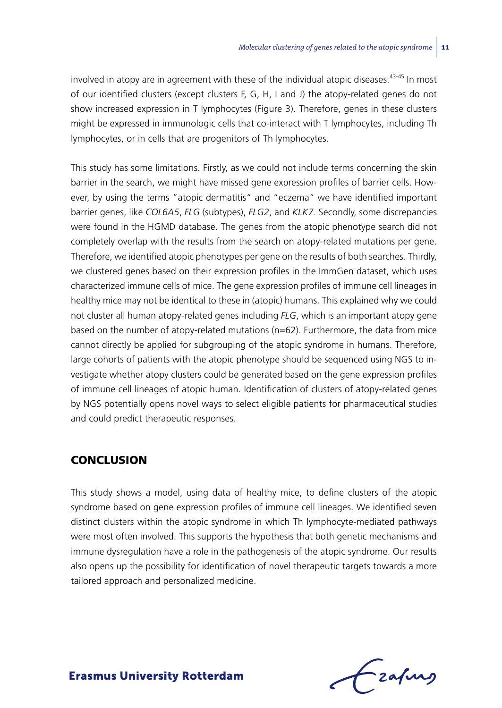involved in atopy are in agreement with these of the individual atopic diseases. $43-45$  In most of our identified clusters (except clusters F, G, H, I and J) the atopy-related genes do not show increased expression in T lymphocytes (Figure 3). Therefore, genes in these clusters might be expressed in immunologic cells that co-interact with T lymphocytes, including Th lymphocytes, or in cells that are progenitors of Th lymphocytes.

This study has some limitations. Firstly, as we could not include terms concerning the skin barrier in the search, we might have missed gene expression profiles of barrier cells. However, by using the terms "atopic dermatitis" and "eczema" we have identified important barrier genes, like *COL6A5*, *FLG* (subtypes), *FLG2*, and *KLK7*. Secondly, some discrepancies were found in the HGMD database. The genes from the atopic phenotype search did not completely overlap with the results from the search on atopy-related mutations per gene. Therefore, we identified atopic phenotypes per gene on the results of both searches. Thirdly, we clustered genes based on their expression profiles in the ImmGen dataset, which uses characterized immune cells of mice. The gene expression profiles of immune cell lineages in healthy mice may not be identical to these in (atopic) humans. This explained why we could not cluster all human atopy-related genes including *FLG*, which is an important atopy gene based on the number of atopy-related mutations (n=62). Furthermore, the data from mice cannot directly be applied for subgrouping of the atopic syndrome in humans. Therefore, large cohorts of patients with the atopic phenotype should be sequenced using NGS to investigate whether atopy clusters could be generated based on the gene expression profiles of immune cell lineages of atopic human. Identification of clusters of atopy-related genes by NGS potentially opens novel ways to select eligible patients for pharmaceutical studies and could predict therapeutic responses.

### **CONCLUSION**

This study shows a model, using data of healthy mice, to define clusters of the atopic syndrome based on gene expression profiles of immune cell lineages. We identified seven distinct clusters within the atopic syndrome in which Th lymphocyte-mediated pathways were most often involved. This supports the hypothesis that both genetic mechanisms and immune dysregulation have a role in the pathogenesis of the atopic syndrome. Our results also opens up the possibility for identification of novel therapeutic targets towards a more tailored approach and personalized medicine.

Frafing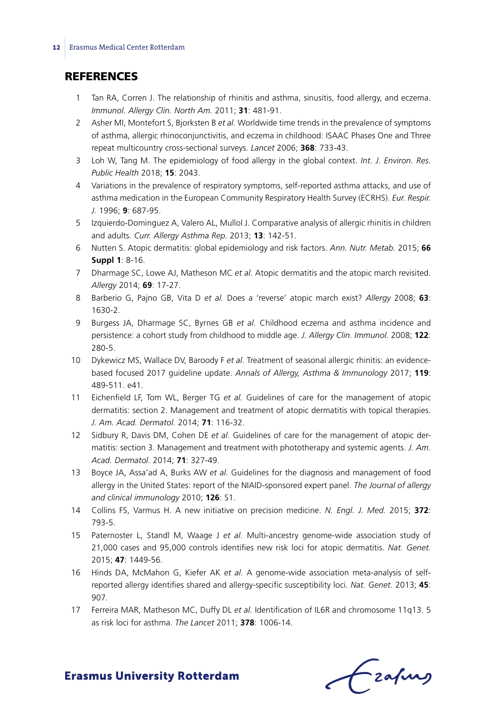# **REFERENCES**

- 1 Tan RA, Corren J. The relationship of rhinitis and asthma, sinusitis, food allergy, and eczema. *Immunol. Allergy Clin. North Am.* 2011; **31**: 481-91.
- 2 Asher MI, Montefort S, Bjorksten B *et al.* Worldwide time trends in the prevalence of symptoms of asthma, allergic rhinoconjunctivitis, and eczema in childhood: ISAAC Phases One and Three repeat multicountry cross-sectional surveys. *Lancet* 2006; **368**: 733-43.
- 3 Loh W, Tang M. The epidemiology of food allergy in the global context. *Int. J. Environ. Res. Public Health* 2018; **15**: 2043.
- 4 Variations in the prevalence of respiratory symptoms, self-reported asthma attacks, and use of asthma medication in the European Community Respiratory Health Survey (ECRHS). *Eur. Respir. J.* 1996; **9**: 687-95.
- 5 Izquierdo-Dominguez A, Valero AL, Mullol J. Comparative analysis of allergic rhinitis in children and adults. *Curr. Allergy Asthma Rep.* 2013; **13**: 142-51.
- 6 Nutten S. Atopic dermatitis: global epidemiology and risk factors. *Ann. Nutr. Metab.* 2015; **66 Suppl 1**: 8-16.
- 7 Dharmage SC, Lowe AJ, Matheson MC *et al.* Atopic dermatitis and the atopic march revisited. *Allergy* 2014; **69**: 17-27.
- 8 Barberio G, Pajno GB, Vita D *et al.* Does a 'reverse' atopic march exist? *Allergy* 2008; **63**: 1630-2.
- 9 Burgess JA, Dharmage SC, Byrnes GB *et al.* Childhood eczema and asthma incidence and persistence: a cohort study from childhood to middle age. *J. Allergy Clin. Immunol.* 2008; **122**: 280-5.
- 10 Dykewicz MS, Wallace DV, Baroody F *et al.* Treatment of seasonal allergic rhinitis: an evidencebased focused 2017 guideline update. *Annals of Allergy, Asthma & Immunology* 2017; **119**: 489-511. e41.
- 11 Eichenfield LF, Tom WL, Berger TG *et al.* Guidelines of care for the management of atopic dermatitis: section 2. Management and treatment of atopic dermatitis with topical therapies. *J. Am. Acad. Dermatol.* 2014; **71**: 116-32.
- 12 Sidbury R, Davis DM, Cohen DE *et al.* Guidelines of care for the management of atopic dermatitis: section 3. Management and treatment with phototherapy and systemic agents. *J. Am. Acad. Dermatol.* 2014; **71**: 327-49.
- 13 Boyce JA, Assa'ad A, Burks AW *et al.* Guidelines for the diagnosis and management of food allergy in the United States: report of the NIAID-sponsored expert panel. *The Journal of allergy and clinical immunology* 2010; **126**: S1.
- 14 Collins FS, Varmus H. A new initiative on precision medicine. *N. Engl. J. Med.* 2015; **372**: 793-5.
- 15 Paternoster L, Standl M, Waage J *et al.* Multi-ancestry genome-wide association study of 21,000 cases and 95,000 controls identifies new risk loci for atopic dermatitis. *Nat. Genet.* 2015; **47**: 1449-56.
- 16 Hinds DA, McMahon G, Kiefer AK *et al.* A genome-wide association meta-analysis of selfreported allergy identifies shared and allergy-specific susceptibility loci. *Nat. Genet.* 2013; **45**: 907.
- 17 Ferreira MAR, Matheson MC, Duffy DL *et al.* Identification of IL6R and chromosome 11q13. 5 as risk loci for asthma. *The Lancet* 2011; **378**: 1006-14.

frafing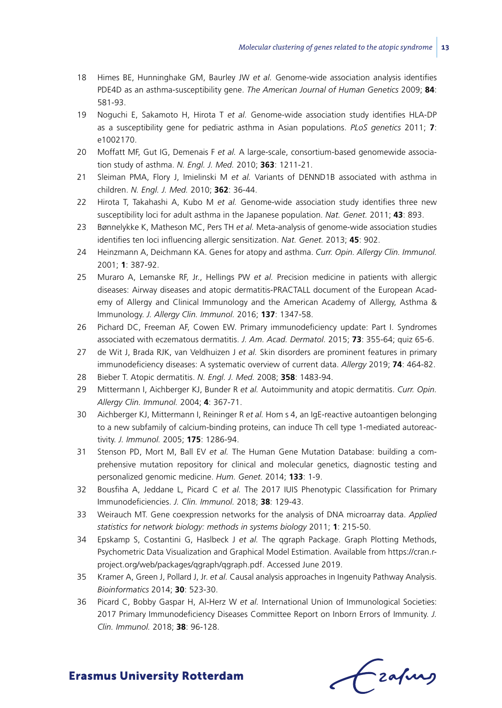- 18 Himes BE, Hunninghake GM, Baurley JW *et al.* Genome-wide association analysis identifies PDE4D as an asthma-susceptibility gene. *The American Journal of Human Genetics* 2009; **84**: 581-93.
- 19 Noguchi E, Sakamoto H, Hirota T *et al.* Genome-wide association study identifies HLA-DP as a susceptibility gene for pediatric asthma in Asian populations. *PLoS genetics* 2011; **7**: e1002170.
- 20 Moffatt MF, Gut IG, Demenais F *et al.* A large-scale, consortium-based genomewide association study of asthma. *N. Engl. J. Med.* 2010; **363**: 1211-21.
- 21 Sleiman PMA, Flory J, Imielinski M *et al.* Variants of DENND1B associated with asthma in children. *N. Engl. J. Med.* 2010; **362**: 36-44.
- 22 Hirota T, Takahashi A, Kubo M *et al.* Genome-wide association study identifies three new susceptibility loci for adult asthma in the Japanese population. *Nat. Genet.* 2011; **43**: 893.
- 23 Bønnelykke K, Matheson MC, Pers TH *et al.* Meta-analysis of genome-wide association studies identifies ten loci influencing allergic sensitization. *Nat. Genet.* 2013; **45**: 902.
- 24 Heinzmann A, Deichmann KA. Genes for atopy and asthma. *Curr. Opin. Allergy Clin. Immunol.* 2001; **1**: 387-92.
- 25 Muraro A, Lemanske RF, Jr., Hellings PW *et al.* Precision medicine in patients with allergic diseases: Airway diseases and atopic dermatitis-PRACTALL document of the European Academy of Allergy and Clinical Immunology and the American Academy of Allergy, Asthma & Immunology. *J. Allergy Clin. Immunol.* 2016; **137**: 1347-58.
- 26 Pichard DC, Freeman AF, Cowen EW. Primary immunodeficiency update: Part I. Syndromes associated with eczematous dermatitis. *J. Am. Acad. Dermatol.* 2015; **73**: 355-64; quiz 65-6.
- 27 de Wit J, Brada RJK, van Veldhuizen J *et al.* Skin disorders are prominent features in primary immunodeficiency diseases: A systematic overview of current data. *Allergy* 2019; **74**: 464-82.
- 28 Bieber T. Atopic dermatitis. *N. Engl. J. Med.* 2008; **358**: 1483-94.
- 29 Mittermann I, Aichberger KJ, Bunder R *et al.* Autoimmunity and atopic dermatitis. *Curr. Opin. Allergy Clin. Immunol.* 2004; **4**: 367-71.
- 30 Aichberger KJ, Mittermann I, Reininger R *et al.* Hom s 4, an IgE-reactive autoantigen belonging to a new subfamily of calcium-binding proteins, can induce Th cell type 1-mediated autoreactivity. *J. Immunol.* 2005; **175**: 1286-94.
- 31 Stenson PD, Mort M, Ball EV *et al.* The Human Gene Mutation Database: building a comprehensive mutation repository for clinical and molecular genetics, diagnostic testing and personalized genomic medicine. *Hum. Genet.* 2014; **133**: 1-9.
- 32 Bousfiha A, Jeddane L, Picard C *et al.* The 2017 IUIS Phenotypic Classification for Primary Immunodeficiencies. *J. Clin. Immunol.* 2018; **38**: 129-43.
- 33 Weirauch MT. Gene coexpression networks for the analysis of DNA microarray data. *Applied statistics for network biology: methods in systems biology* 2011; **1**: 215-50.
- 34 Epskamp S, Costantini G, Haslbeck J *et al.* The qgraph Package. Graph Plotting Methods, Psychometric Data Visualization and Graphical Model Estimation. Available from https://cran.rproject.org/web/packages/qgraph/qgraph.pdf. Accessed June 2019.
- 35 Kramer A, Green J, Pollard J, Jr. *et al.* Causal analysis approaches in Ingenuity Pathway Analysis. *Bioinformatics* 2014; **30**: 523-30.
- 36 Picard C, Bobby Gaspar H, Al-Herz W *et al.* International Union of Immunological Societies: 2017 Primary Immunodeficiency Diseases Committee Report on Inborn Errors of Immunity. *J. Clin. Immunol.* 2018; **38**: 96-128.

Frafing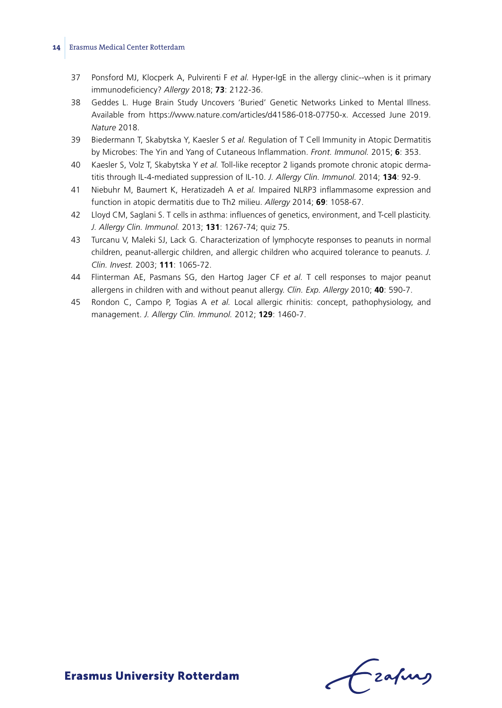- 37 Ponsford MJ, Klocperk A, Pulvirenti F *et al.* Hyper-IgE in the allergy clinic--when is it primary immunodeficiency? *Allergy* 2018; **73**: 2122-36.
- 38 Geddes L. Huge Brain Study Uncovers 'Buried' Genetic Networks Linked to Mental Illness. Available from https://www.nature.com/articles/d41586-018-07750-x. Accessed June 2019. *Nature* 2018.
- 39 Biedermann T, Skabytska Y, Kaesler S *et al.* Regulation of T Cell Immunity in Atopic Dermatitis by Microbes: The Yin and Yang of Cutaneous Inflammation. *Front. Immunol.* 2015; **6**: 353.
- 40 Kaesler S, Volz T, Skabytska Y *et al.* Toll-like receptor 2 ligands promote chronic atopic dermatitis through IL-4-mediated suppression of IL-10. *J. Allergy Clin. Immunol.* 2014; **134**: 92-9.
- 41 Niebuhr M, Baumert K, Heratizadeh A *et al.* Impaired NLRP3 inflammasome expression and function in atopic dermatitis due to Th2 milieu. *Allergy* 2014; **69**: 1058-67.
- 42 Lloyd CM, Saglani S. T cells in asthma: influences of genetics, environment, and T-cell plasticity. *J. Allergy Clin. Immunol.* 2013; **131**: 1267-74; quiz 75.
- 43 Turcanu V, Maleki SJ, Lack G. Characterization of lymphocyte responses to peanuts in normal children, peanut-allergic children, and allergic children who acquired tolerance to peanuts. *J. Clin. Invest.* 2003; **111**: 1065-72.
- 44 Flinterman AE, Pasmans SG, den Hartog Jager CF *et al.* T cell responses to major peanut allergens in children with and without peanut allergy. *Clin. Exp. Allergy* 2010; **40**: 590-7.
- 45 Rondon C, Campo P, Togias A *et al.* Local allergic rhinitis: concept, pathophysiology, and management. *J. Allergy Clin. Immunol.* 2012; **129**: 1460-7.

Frahing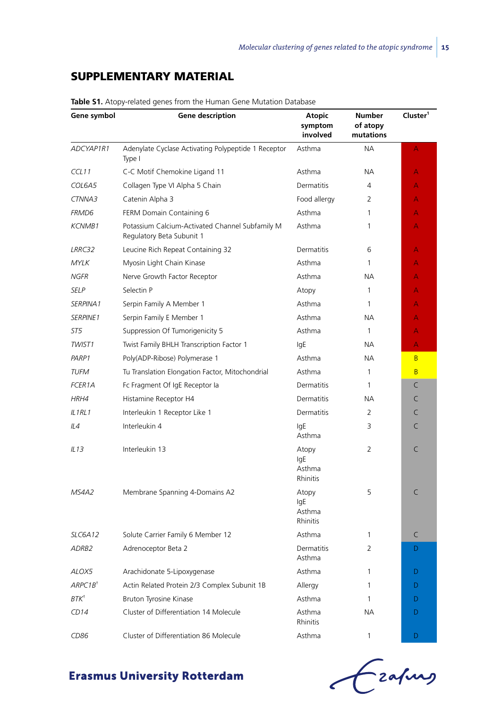# Supplementary material

| Gene symbol          | <b>Gene description</b>                                                      | Atopic<br>symptom<br>involved      | Number<br>of atopy<br>mutations | Cluster <sup>1</sup> |  |
|----------------------|------------------------------------------------------------------------------|------------------------------------|---------------------------------|----------------------|--|
| ADCYAP1R1            | Adenylate Cyclase Activating Polypeptide 1 Receptor<br>Type I                | Asthma                             | <b>NA</b>                       | Α                    |  |
| CCL11                | C-C Motif Chemokine Ligand 11                                                | Asthma                             | NA.                             | А                    |  |
| COL6A5               | Collagen Type VI Alpha 5 Chain                                               | <b>Dermatitis</b>                  | 4                               | A                    |  |
| CTNNA3               | Catenin Alpha 3                                                              | Food allergy                       | 2                               | A                    |  |
| FRMD6                | FERM Domain Containing 6                                                     | Asthma                             | $\mathbf{1}$                    | A                    |  |
| <b>KCNMB1</b>        | Potassium Calcium-Activated Channel Subfamily M<br>Regulatory Beta Subunit 1 | Asthma                             | 1                               | A                    |  |
| LRRC32               | Leucine Rich Repeat Containing 32                                            | Dermatitis<br>6                    |                                 |                      |  |
| <b>MYLK</b>          | Myosin Light Chain Kinase                                                    | Asthma                             | $\mathbf{1}$                    | A                    |  |
| <b>NGFR</b>          | Nerve Growth Factor Receptor                                                 | Asthma                             | NА                              | A                    |  |
| <b>SELP</b>          | Selectin P                                                                   | Atopy                              | $\mathbf{1}$                    | A                    |  |
| SERPINA <sub>1</sub> | Serpin Family A Member 1                                                     | Asthma                             | 1                               | A                    |  |
| <b>SERPINE1</b>      | Serpin Family E Member 1                                                     | Asthma                             | NA.                             | A                    |  |
| ST5                  | Suppression Of Tumorigenicity 5                                              | Asthma                             | $\mathbf{1}$                    | A                    |  |
| TWIST1               | Twist Family BHLH Transcription Factor 1                                     | lgE                                | NA.                             | A                    |  |
| PARP1                | Poly(ADP-Ribose) Polymerase 1                                                | Asthma                             | NA.                             | B                    |  |
| <b>TUFM</b>          | Tu Translation Elongation Factor, Mitochondrial<br>Asthma                    |                                    | $\mathbf{1}$                    | B                    |  |
| <b>FCER1A</b>        | Fc Fragment Of IgE Receptor la                                               | Dermatitis                         | $\mathbf{1}$                    | C                    |  |
| HRH4                 | Histamine Receptor H4                                                        | <b>Dermatitis</b>                  | <b>NA</b>                       | C                    |  |
| IL1RL1               | Interleukin 1 Receptor Like 1                                                | $\overline{2}$<br>Dermatitis       |                                 | C                    |  |
| IL4                  | Interleukin 4                                                                | lgE<br>Asthma                      | 3                               | C                    |  |
| IL13                 | Interleukin 13                                                               | Atopy<br>lgE<br>Asthma<br>Rhinitis | $\overline{2}$                  | C                    |  |
| MS4A2                | Membrane Spanning 4-Domains A2                                               | Atopy<br>lgE<br>Asthma<br>Rhinitis | 5                               | C                    |  |
| SLC6A12              | Solute Carrier Family 6 Member 12                                            | Asthma                             | $\mathbf{1}$                    | C                    |  |
| ADRB2                | Adrenoceptor Beta 2                                                          | Dermatitis<br>Asthma               | $\overline{2}$                  | D                    |  |
| ALOX5                | Arachidonate 5-Lipoxygenase                                                  | Asthma                             | 1                               | D                    |  |
| ARPC1B <sup>†</sup>  | Actin Related Protein 2/3 Complex Subunit 1B                                 | Allergy                            | 1                               | D                    |  |
| $BTK^+$              | Bruton Tyrosine Kinase                                                       | Asthma                             | $\mathbf{1}$                    | D                    |  |
| CD14                 | Cluster of Differentiation 14 Molecule                                       | Asthma<br>Rhinitis                 | <b>NA</b>                       | D                    |  |
| CD86                 | Cluster of Differentiation 86 Molecule                                       | Asthma                             | $\mathbf{1}$                    | D                    |  |

**Table S1.** Atopy-related genes from the Human Gene Mutation Database

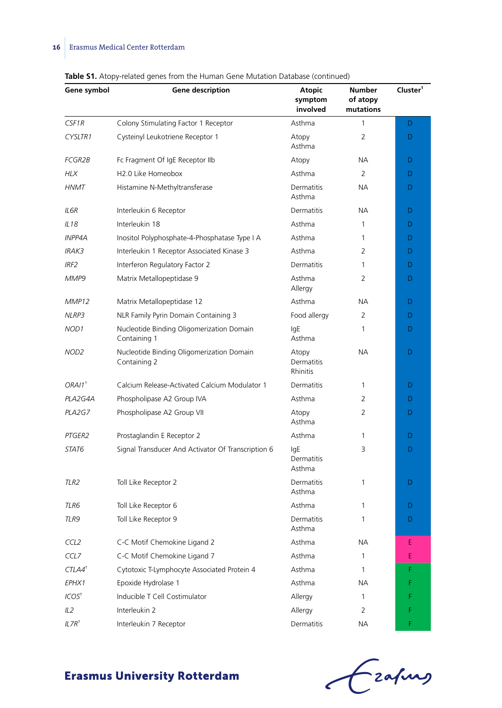| Gene symbol          | Gene description                                          | <b>Atopic</b><br>symptom<br>involved | Number<br>of atopy<br>mutations | Cluster <sup>1</sup> |
|----------------------|-----------------------------------------------------------|--------------------------------------|---------------------------------|----------------------|
| CSF1R                | Colony Stimulating Factor 1 Receptor                      | Asthma                               | 1                               | D                    |
| CYSLTR1              | Cysteinyl Leukotriene Receptor 1                          | Atopy<br>Asthma                      | $\overline{2}$                  | D                    |
| <b>FCGR2B</b>        | Fc Fragment Of IgE Receptor IIb                           | Atopy                                | NА                              | D                    |
| <b>HLX</b>           | H2.0 Like Homeobox                                        | Asthma                               | 2                               | D                    |
| <b>HNMT</b>          | Histamine N-Methyltransferase                             | Dermatitis<br>Asthma                 | <b>NA</b>                       | D                    |
| IL6R                 | Interleukin 6 Receptor                                    | Dermatitis                           | NА                              | D                    |
| IL18                 | Interleukin 18                                            | Asthma                               | 1                               | D                    |
| <b>INPP4A</b>        | Inositol Polyphosphate-4-Phosphatase Type I A             | Asthma                               | 1                               | D                    |
| <b>IRAK3</b>         | Interleukin 1 Receptor Associated Kinase 3                | Asthma                               | 2                               | D                    |
| IRF <sub>2</sub>     | Interferon Regulatory Factor 2                            | Dermatitis                           | 1                               | D                    |
| MMP9                 | Matrix Metallopeptidase 9                                 | Asthma<br>Allergy                    | 2                               | D                    |
| MMP12                | Matrix Metallopeptidase 12                                | Asthma                               | <b>NA</b>                       | D                    |
| NLRP3                | NLR Family Pyrin Domain Containing 3                      | Food allergy                         | 2                               | D                    |
| NOD1                 | Nucleotide Binding Oligomerization Domain<br>Containing 1 | lgE<br>Asthma                        | 1                               | D                    |
| NOD <sub>2</sub>     | Nucleotide Binding Oligomerization Domain<br>Containing 2 | Atopy<br>Dermatitis<br>Rhinitis      | <b>NA</b>                       | D                    |
| $ORA11$ <sup>+</sup> | Calcium Release-Activated Calcium Modulator 1             | Dermatitis                           | 1                               | D                    |
| PLA2G4A              | Phospholipase A2 Group IVA                                | Asthma<br>2                          |                                 | D                    |
| PLA2G7               | Phospholipase A2 Group VII                                | Atopy<br>Asthma                      | 2                               | D                    |
| PTGER2               | Prostaglandin E Receptor 2                                | Asthma<br>1                          |                                 | D                    |
| STAT6                | Signal Transducer And Activator Of Transcription 6        |                                      | 3                               | D                    |
| TLR <sub>2</sub>     | Asthma<br>Toll Like Receptor 2<br>Dermatitis<br>Asthma    |                                      | 1                               | D                    |
| TLR6                 | Toll Like Receptor 6                                      | Asthma                               | 1                               | D                    |
| TLR9                 | Toll Like Receptor 9                                      | Dermatitis<br>Asthma                 | 1                               | D                    |
| CCL <sub>2</sub>     | C-C Motif Chemokine Ligand 2                              | Asthma                               | NА                              | Ε                    |
| CCL7                 | C-C Motif Chemokine Ligand 7                              | Asthma                               | 1                               | E                    |
| $CTLA4$ <sup>†</sup> | Cytotoxic T-Lymphocyte Associated Protein 4               | Asthma                               | 1                               | F                    |
| EPHX1                | Epoxide Hydrolase 1                                       | Asthma                               | <b>NA</b>                       | F                    |
| ICOS <sup>†</sup>    | Inducible T Cell Costimulator                             | Allergy                              | 1                               | F                    |
| IL2                  | Interleukin 2                                             | Allergy                              | $\overline{2}$                  | F                    |
| $II$ 7D <sup>t</sup> | Interlautin 7 Beconter                                    | Dormatitic                           | <b>NIA</b>                      |                      |

**Table S1.** Atopy-related genes from the Human Gene Mutation Database (continued)

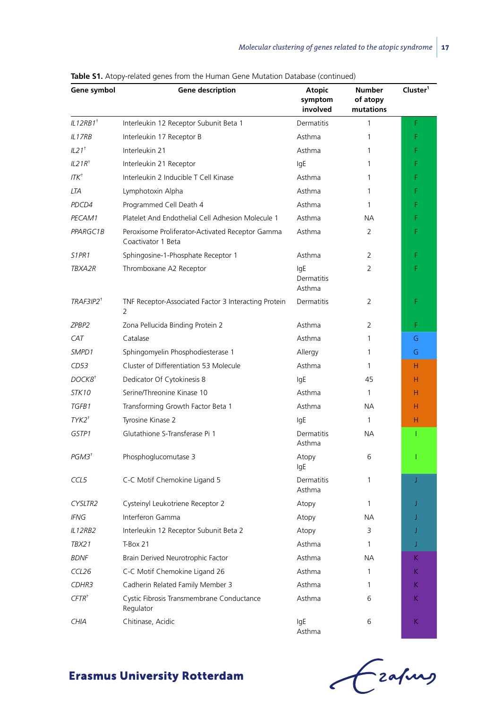| Gene symbol                    | Gene description                                                       | <b>Atopic</b><br>symptom<br>involved | Number<br>of atopy<br>mutations | Cluster <sup>1</sup> |
|--------------------------------|------------------------------------------------------------------------|--------------------------------------|---------------------------------|----------------------|
| IL12RB1 <sup>†</sup>           | Interleukin 12 Receptor Subunit Beta 1                                 | <b>Dermatitis</b>                    | 1                               | F                    |
| IL17RB                         | Interleukin 17 Receptor B                                              | Asthma                               | 1                               | F                    |
| $IL21$ <sup>+</sup>            | Interleukin 21                                                         | Asthma                               | 1                               | F                    |
| IL21R <sup>†</sup>             | Interleukin 21 Receptor                                                | lgE                                  | 1                               | F                    |
| $ITK^{\dagger}$                | Interleukin 2 Inducible T Cell Kinase                                  | Asthma                               | 1                               | F                    |
| LTA                            | Lymphotoxin Alpha                                                      | Asthma                               | 1                               | F                    |
| PDCD4                          | Programmed Cell Death 4                                                | Asthma                               | 1                               | F                    |
| PECAM1                         | Platelet And Endothelial Cell Adhesion Molecule 1                      | Asthma                               | NA.                             | F                    |
| PPARGC1B                       | Peroxisome Proliferator-Activated Receptor Gamma<br>Coactivator 1 Beta | Asthma                               | 2                               | F                    |
| S <sub>1</sub> PR <sub>1</sub> | Sphingosine-1-Phosphate Receptor 1                                     | Asthma                               | 2                               | F                    |
| TBXA2R                         | Thromboxane A2 Receptor                                                | lgE<br>Dermatitis<br>Asthma          | 2                               | F                    |
| TRAF3IP2 <sup>†</sup>          | TNF Receptor-Associated Factor 3 Interacting Protein<br>2              | Dermatitis                           | 2                               | F                    |
| ZPBP2                          | Zona Pellucida Binding Protein 2                                       | Asthma                               | 2                               | F                    |
| CAT                            | Catalase                                                               | Asthma                               | 1                               | G                    |
| SMPD1                          | Sphingomyelin Phosphodiesterase 1                                      | Allergy                              | 1                               | G                    |
| CD53                           | Cluster of Differentiation 53 Molecule                                 | Asthma                               | 1                               | H.                   |
| DOCK8 <sup>+</sup>             | Dedicator Of Cytokinesis 8                                             | lgE                                  | 45                              | н                    |
| STK10                          | Serine/Threonine Kinase 10                                             | Asthma                               | $\mathbf{1}$                    | H                    |
| TGFB1                          | Transforming Growth Factor Beta 1                                      | Asthma                               | NA.                             | H                    |
| $TYK2^{\dagger}$               | Tyrosine Kinase 2                                                      | lgE                                  | $\mathbf{1}$                    | н                    |
| GSTP1                          | Glutathione S-Transferase Pi 1                                         | <b>Dermatitis</b><br>Asthma          | <b>NA</b>                       | T                    |
| $PGM3^+$                       | Phosphoglucomutase 3                                                   | Atopy<br>lgE                         | 6                               | T                    |
| CCL5                           | C-C Motif Chemokine Ligand 5                                           | <b>Dermatitis</b><br>Asthma          | 1                               | J                    |
| CYSLTR2                        | Cysteinyl Leukotriene Receptor 2                                       | Atopy                                | 1                               | J                    |
| <b>IFNG</b>                    | Interferon Gamma                                                       | Atopy                                | NA.                             | J                    |
| IL12RB2                        | Interleukin 12 Receptor Subunit Beta 2                                 | Atopy                                | 3                               | J                    |
| TBX21                          | T-Box 21                                                               | Asthma                               | 1                               | J                    |
| BDNF                           | Brain Derived Neurotrophic Factor                                      | Asthma                               | ΝA                              | K.                   |
| CCL <sub>26</sub>              | C-C Motif Chemokine Ligand 26                                          | Asthma                               | 1                               | K                    |
| CDHR3                          | Cadherin Related Family Member 3                                       | Asthma                               | 1                               | K.                   |
| $CFTR+$                        | Cystic Fibrosis Transmembrane Conductance<br>Regulator                 | Asthma                               | 6                               | K.                   |
| CHIA                           | Chitinase, Acidic                                                      |                                      | 6                               | K.                   |

**Table S1.** Atopy-related genes from the Human Gene Mutation Database (continued)

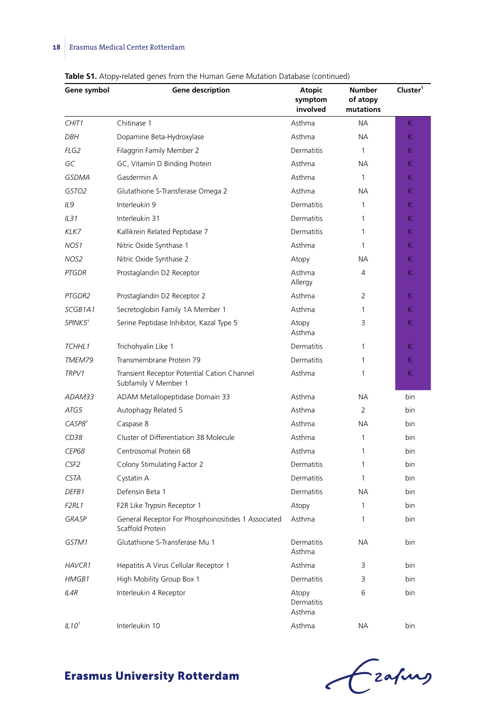| Gene symbol         | <b>Gene description</b>                                                 | <b>Atopic</b><br>symptom<br>involved | Number<br>of atopy<br>mutations | Cluster <sup>1</sup> |  |
|---------------------|-------------------------------------------------------------------------|--------------------------------------|---------------------------------|----------------------|--|
| CHIT <sub>1</sub>   | Chitinase 1                                                             | Asthma                               | NA.                             | K.                   |  |
| <b>DBH</b>          | Dopamine Beta-Hydroxylase                                               | Asthma                               | NA.                             | K.                   |  |
| FLG2                | Filaggrin Family Member 2                                               | <b>Dermatitis</b>                    | $\mathbf{1}$                    | K.                   |  |
| GC                  | GC, Vitamin D Binding Protein                                           | Asthma                               | NA.                             | Κ                    |  |
| <b>GSDMA</b>        | Gasdermin A                                                             | Asthma                               | $\mathbf{1}$                    | Κ                    |  |
| GSTO2               | Glutathione S-Transferase Omega 2                                       | Asthma                               | NA.                             | Κ                    |  |
| IL9                 | Interleukin 9                                                           | Dermatitis                           | 1                               | Κ                    |  |
| IL31                | Interleukin 31                                                          | Dermatitis                           | 1                               | K                    |  |
| KLK7                | Kallikrein Related Peptidase 7                                          | <b>Dermatitis</b>                    | 1                               | Κ                    |  |
| NOS1                | Nitric Oxide Synthase 1                                                 | Asthma                               | 1                               | K.                   |  |
| NOS2                | Nitric Oxide Synthase 2                                                 | Atopy                                | NА                              | Κ                    |  |
| <b>PTGDR</b>        | Prostaglandin D2 Receptor                                               | Asthma<br>Allergy                    | 4                               | Κ                    |  |
| PTGDR2              | Prostaglandin D2 Receptor 2                                             | Asthma                               | $\overline{2}$                  | Κ                    |  |
| SCGB1A1             | Secretoglobin Family 1A Member 1                                        | Asthma                               | 1                               | K.                   |  |
| SPINK5 <sup>+</sup> | Serine Peptidase Inhibitor, Kazal Type 5                                | Atopy<br>Asthma                      | 3                               | К                    |  |
| TCHHL1              | Trichohyalin Like 1                                                     | Dermatitis                           | 1                               | K                    |  |
| TMEM79              | Transmembrane Protein 79                                                | Dermatitis                           | 1                               | Κ                    |  |
| TRPV1               | Transient Receptor Potential Cation Channel<br>Subfamily V Member 1     | Asthma                               | 1                               | К                    |  |
| ADAM33              | ADAM Metallopeptidase Domain 33                                         | Asthma                               | NA.                             | bin                  |  |
| ATG5                | Autophagy Related 5                                                     | Asthma                               | 2                               | bin                  |  |
| CASPS <sup>†</sup>  | Caspase 8                                                               | Asthma                               | NA.                             | bin                  |  |
| CD38                | Cluster of Differentiation 38 Molecule                                  | Asthma                               | 1                               | bin                  |  |
| <b>CEP68</b>        | Centrosomal Protein 68                                                  | Asthma                               | 1                               | bin                  |  |
| CSF <sub>2</sub>    | Colony Stimulating Factor 2                                             | Dermatitis                           | 1                               | bin                  |  |
| <b>CSTA</b>         | Cystatin A                                                              | Dermatitis                           | 1                               | bin                  |  |
| DEFB1               | Defensin Beta 1                                                         | Dermatitis                           | NA.                             | bin                  |  |
| F2RL1               | F2R Like Trypsin Receptor 1                                             | Atopy                                | 1                               | bin                  |  |
| GRASP               | General Receptor For Phosphoinositides 1 Associated<br>Scaffold Protein | Asthma                               | 1                               | bin                  |  |
| GSTM1               | Glutathione S-Transferase Mu 1                                          | Dermatitis<br>Asthma                 | NA.                             | bin                  |  |
| <b>HAVCR1</b>       | Hepatitis A Virus Cellular Receptor 1                                   | Asthma                               | 3                               | bin                  |  |
| HMGB1               | High Mobility Group Box 1                                               | Dermatitis                           | 3                               | bin                  |  |
| IL4R                | Interleukin 4 Receptor                                                  | Atopy<br>Dermatitis<br>Asthma        | 6                               | bin                  |  |
| IL10 <sup>†</sup>   | Interleukin 10                                                          | Asthma                               | ΝA                              | bin                  |  |

**Table S1.** Atopy-related genes from the Human Gene Mutation Database (continued)

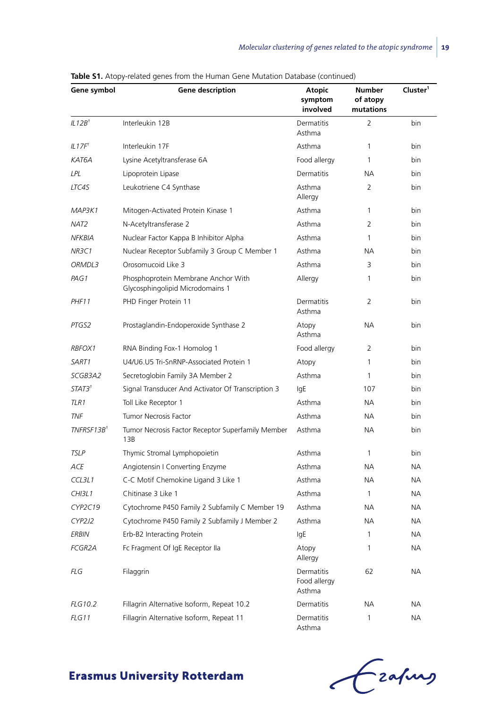| Gene symbol            | Gene description                                                        | Atopic<br>symptom<br>involved        | Number<br>of atopy<br>mutations | Cluster <sup>1</sup> |  |
|------------------------|-------------------------------------------------------------------------|--------------------------------------|---------------------------------|----------------------|--|
| IL12B <sup>†</sup>     | Interleukin 12B                                                         | Dermatitis<br>Asthma                 | $\overline{2}$                  | bin                  |  |
| IL17F <sup>†</sup>     | Interleukin 17F                                                         | Asthma                               | 1                               | bin                  |  |
| KAT6A                  | Lysine Acetyltransferase 6A                                             | Food allergy                         | 1                               | bin                  |  |
| LPL                    | Lipoprotein Lipase                                                      | Dermatitis                           | <b>NA</b>                       | bin                  |  |
| LTC4S                  | Leukotriene C4 Synthase                                                 | Asthma<br>Allergy                    | $\overline{2}$                  | bin                  |  |
| MAP3K1                 | Mitogen-Activated Protein Kinase 1                                      | Asthma                               | 1                               | bin                  |  |
| NAT <sub>2</sub>       | N-Acetyltransferase 2                                                   | Asthma                               | $\overline{2}$                  | bin                  |  |
| <b>NFKBIA</b>          | Nuclear Factor Kappa B Inhibitor Alpha                                  | Asthma                               | 1                               | bin                  |  |
| <b>NR3C1</b>           | Nuclear Receptor Subfamily 3 Group C Member 1                           | Asthma                               | <b>NA</b>                       | bin                  |  |
| ORMDL3                 | Orosomucoid Like 3                                                      | Asthma                               | 3                               | bin                  |  |
| PAG1                   | Phosphoprotein Membrane Anchor With<br>Glycosphingolipid Microdomains 1 | Allergy                              | 1                               | bin                  |  |
| PHF11                  | PHD Finger Protein 11                                                   | Dermatitis<br>Asthma                 | $\overline{2}$                  | bin                  |  |
| PTGS2                  | Prostaglandin-Endoperoxide Synthase 2                                   | Atopy<br>Asthma                      | <b>NA</b>                       | bin                  |  |
| RBFOX1                 | RNA Binding Fox-1 Homolog 1                                             | Food allergy                         | $\overline{2}$                  | bin                  |  |
| SART1                  | U4/U6.U5 Tri-SnRNP-Associated Protein 1                                 | Atopy                                | 1                               | bin                  |  |
| SCGB3A2                | Secretoglobin Family 3A Member 2                                        | Asthma                               | 1                               | bin                  |  |
| STAT3 <sup>+</sup>     | Signal Transducer And Activator Of Transcription 3                      | lgE                                  | 107                             | bin                  |  |
| TLR1                   | Toll Like Receptor 1                                                    | Asthma                               | <b>NA</b>                       | bin                  |  |
| <b>TNF</b>             | Tumor Necrosis Factor                                                   | Asthma                               | <b>NA</b>                       | bin                  |  |
| TNFRSF13B <sup>+</sup> | Tumor Necrosis Factor Receptor Superfamily Member<br>13B                | Asthma                               | <b>NA</b>                       | bin                  |  |
| <b>TSLP</b>            | Thymic Stromal Lymphopoietin                                            | Asthma                               | 1                               | bin                  |  |
| <b>ACE</b>             | Angiotensin I Converting Enzyme                                         | Asthma                               | <b>NA</b>                       | <b>NA</b>            |  |
| CCL3L1                 | C-C Motif Chemokine Ligand 3 Like 1                                     | Asthma                               | <b>NA</b>                       | <b>NA</b>            |  |
| <b>CHI3L1</b>          | Chitinase 3 Like 1                                                      | Asthma                               | 1                               | <b>NA</b>            |  |
| CYP2C19                | Cytochrome P450 Family 2 Subfamily C Member 19                          | Asthma                               | <b>NA</b>                       | NА                   |  |
| CYP2J2                 | Cytochrome P450 Family 2 Subfamily J Member 2                           | Asthma                               | <b>NA</b>                       | <b>NA</b>            |  |
| <b>ERBIN</b>           | Erb-B2 Interacting Protein                                              | lgE                                  | 1                               | <b>NA</b>            |  |
| <b>FCGR2A</b>          | Fc Fragment Of IgE Receptor IIa                                         | Atopy<br>Allergy                     | 1                               | <b>NA</b>            |  |
| <b>FLG</b>             | Filaggrin                                                               | Dermatitis<br>Food allergy<br>Asthma | 62                              | <b>NA</b>            |  |
| <b>FLG10.2</b>         | Fillagrin Alternative Isoform, Repeat 10.2                              | Dermatitis                           | <b>NA</b>                       | ΝA                   |  |
| FLG11                  | Fillagrin Alternative Isoform, Repeat 11                                | Dermatitis<br>Asthma                 | $\mathbf{1}$                    | <b>NA</b>            |  |

**Table S1.** Atopy-related genes from the Human Gene Mutation Database (continued)

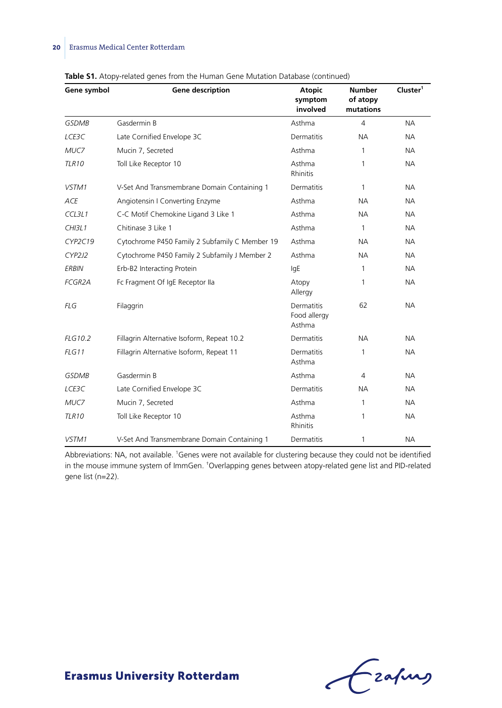| Gene symbol    | Gene description                               | <b>Atopic</b><br>symptom<br>involved | <b>Number</b><br>of atopy<br>mutations | Cluster <sup>1</sup> |  |
|----------------|------------------------------------------------|--------------------------------------|----------------------------------------|----------------------|--|
| <b>GSDMB</b>   | Gasdermin B                                    | Asthma                               | 4                                      | <b>NA</b>            |  |
| LCE3C          | Late Cornified Envelope 3C                     | Dermatitis                           | NA.                                    | <b>NA</b>            |  |
| MUC7           | Mucin 7, Secreted                              | Asthma                               | 1                                      | <b>NA</b>            |  |
| <b>TLR10</b>   | Toll Like Receptor 10                          | Asthma<br><b>Rhinitis</b>            | 1                                      | NA                   |  |
| VSTM1          | V-Set And Transmembrane Domain Containing 1    | Dermatitis                           | 1                                      | <b>NA</b>            |  |
| <b>ACE</b>     | Angiotensin I Converting Enzyme                | Asthma                               | NA.                                    | <b>NA</b>            |  |
| CCL3L1         | C-C Motif Chemokine Ligand 3 Like 1            | Asthma                               | NA.                                    | NA.                  |  |
| CHI3L1         | Chitinase 3 Like 1                             | Asthma                               | 1                                      | <b>NA</b>            |  |
| CYP2C19        | Cytochrome P450 Family 2 Subfamily C Member 19 | Asthma                               | NА                                     | <b>NA</b>            |  |
| CYP2J2         | Cytochrome P450 Family 2 Subfamily J Member 2  | Asthma                               | NA.                                    | <b>NA</b>            |  |
| <b>ERBIN</b>   | Erb-B2 Interacting Protein                     | lgE                                  | 1                                      | <b>NA</b>            |  |
| <b>FCGR2A</b>  | Fc Fragment Of IgE Receptor IIa                | Atopy<br>Allergy                     | 1                                      | NA.                  |  |
| <b>FLG</b>     | Filaggrin                                      | Dermatitis<br>Food allergy<br>Asthma | 62                                     | <b>NA</b>            |  |
| <b>FLG10.2</b> | Fillagrin Alternative Isoform, Repeat 10.2     | Dermatitis                           | NA.                                    | <b>NA</b>            |  |
| FLG11          | Fillagrin Alternative Isoform, Repeat 11       | Dermatitis<br>Asthma                 | 1                                      | NA                   |  |
| <b>GSDMB</b>   | Gasdermin B                                    | Asthma                               | 4                                      | <b>NA</b>            |  |
| LCE3C          | Late Cornified Envelope 3C                     | Dermatitis                           | NА                                     | <b>NA</b>            |  |
| MUC7           | Mucin 7, Secreted                              | Asthma                               | 1                                      | <b>NA</b>            |  |
| <b>TLR10</b>   | Toll Like Receptor 10                          | Asthma<br>Rhinitis                   | 1                                      | <b>NA</b>            |  |
| VSTM1          | V-Set And Transmembrane Domain Containing 1    | Dermatitis                           | 1                                      | <b>NA</b>            |  |

**Table S1.** Atopy-related genes from the Human Gene Mutation Database (continued)

Abbreviations: NA, not available. <sup>1</sup>Genes were not available for clustering because they could not be identified in the mouse immune system of ImmGen. † Overlapping genes between atopy-related gene list and PID-related gene list (n=22).

Grafing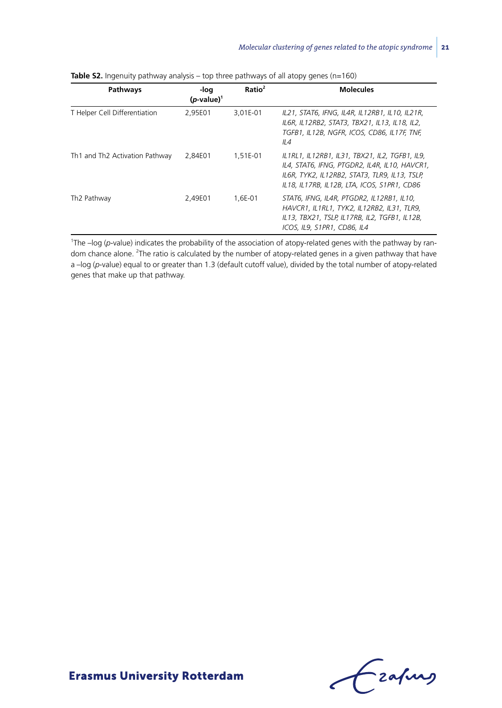| Pathways                       | -loq<br>$(p-value)^T$ | Ratio <sup>2</sup> | <b>Molecules</b>                                                                                                                                                                                |
|--------------------------------|-----------------------|--------------------|-------------------------------------------------------------------------------------------------------------------------------------------------------------------------------------------------|
| T Helper Cell Differentiation  | 2,95E01               | 3,01E-01           | IL21, STAT6, IFNG, IL4R, IL12RB1, IL10, IL21R,<br>IL6R, IL12RB2, STAT3, TBX21, IL13, IL18, IL2,<br>TGFB1, IL12B, NGFR, ICOS, CD86, IL17F, TNF,<br>II4                                           |
| Th1 and Th2 Activation Pathway | 2,84E01               | 1,51E-01           | IL1RL1, IL12RB1, IL31, TBX21, IL2, TGFB1, IL9,<br>IL4, STAT6, IFNG, PTGDR2, IL4R, IL10, HAVCR1,<br>IL6R, TYK2, IL12RB2, STAT3, TLR9, IL13, TSLP,<br>IL18, IL17RB, IL12B, LTA, ICOS, S1PR1, CD86 |
| Th2 Pathway                    | 2.49E01               | 1.6E-01            | STAT6, IFNG, IL4R, PTGDR2, IL12RB1, IL10,<br>HAVCR1, IL1RL1, TYK2, IL12RB2, IL31, TLR9,<br>IL13, TBX21, TSLP, IL17RB, IL2, TGFB1, IL12B,<br>ICOS, IL9, S1PR1, CD86, IL4                         |

**Table S2.** Ingenuity pathway analysis – top three pathways of all atopy genes (n=160)

1 The –log (*p*-value) indicates the probability of the association of atopy-related genes with the pathway by random chance alone. <sup>2</sup>The ratio is calculated by the number of atopy-related genes in a given pathway that have a –log (*p*-value) equal to or greater than 1.3 (default cutoff value), divided by the total number of atopy-related genes that make up that pathway.

Ezapurs